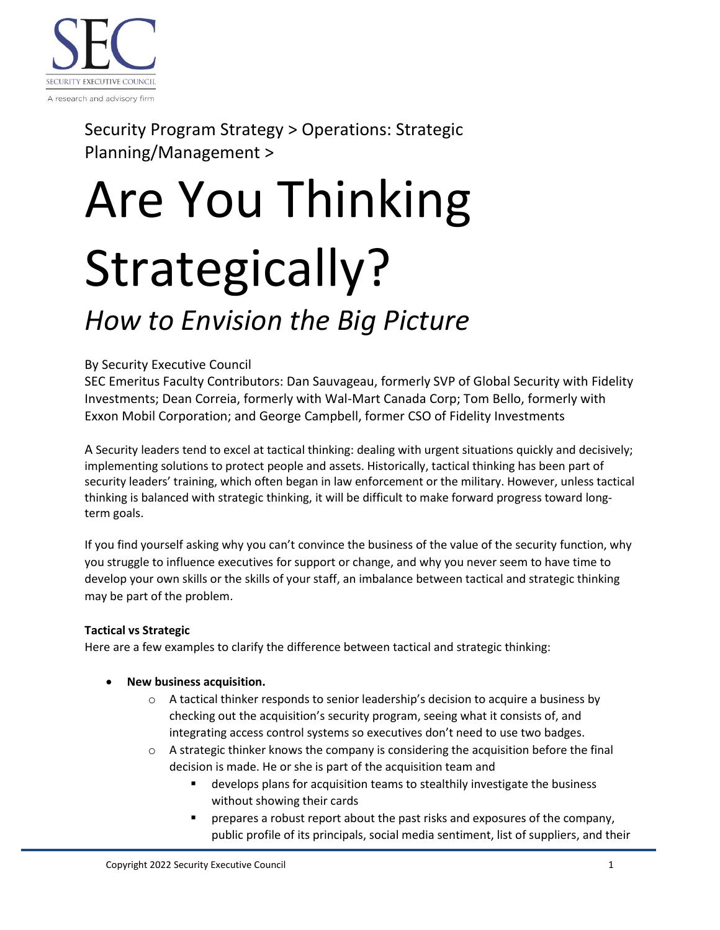

Security Program Strategy > Operations: Strategic Planning/Management >

# Are You Thinking Strategically?

## *How to Envision the Big Picture*

#### By Security Executive Council

SEC Emeritus Faculty Contributors: Dan Sauvageau, formerly SVP of Global Security with Fidelity Investments; Dean Correia, formerly with Wal-Mart Canada Corp; Tom Bello, formerly with Exxon Mobil Corporation; and George Campbell, former CSO of Fidelity Investments

A Security leaders tend to excel at tactical thinking: dealing with urgent situations quickly and decisively; implementing solutions to protect people and assets. Historically, tactical thinking has been part of security leaders' training, which often began in law enforcement or the military. However, unless tactical thinking is balanced with strategic thinking, it will be difficult to make forward progress toward longterm goals.

If you find yourself asking why you can't convince the business of the value of the security function, why you struggle to influence executives for support or change, and why you never seem to have time to develop your own skills or the skills of your staff, an imbalance between tactical and strategic thinking may be part of the problem.

#### **Tactical vs Strategic**

Here are a few examples to clarify the difference between tactical and strategic thinking:

- **New business acquisition.**
	- $\circ$  A tactical thinker responds to senior leadership's decision to acquire a business by checking out the acquisition's security program, seeing what it consists of, and integrating access control systems so executives don't need to use two badges.
	- $\circ$  A strategic thinker knows the company is considering the acquisition before the final decision is made. He or she is part of the acquisition team and
		- develops plans for acquisition teams to stealthily investigate the business without showing their cards
		- prepares a robust report about the past risks and exposures of the company, public profile of its principals, social media sentiment, list of suppliers, and their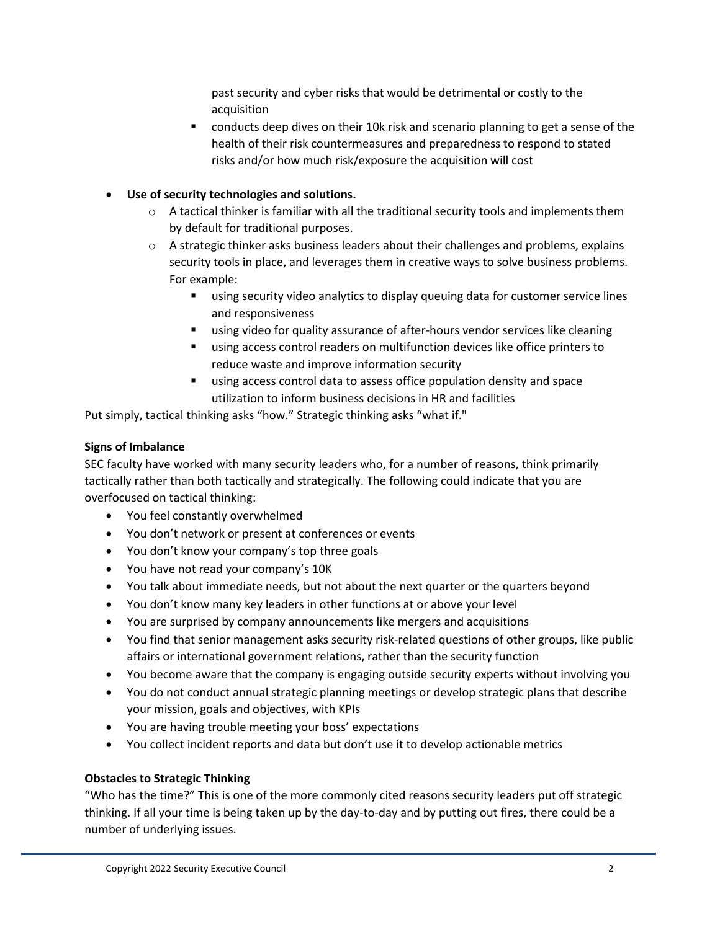past security and cyber risks that would be detrimental or costly to the acquisition

■ conducts deep dives on their 10k risk and scenario planning to get a sense of the health of their risk countermeasures and preparedness to respond to stated risks and/or how much risk/exposure the acquisition will cost

#### • **Use of security technologies and solutions.**

- $\circ$  A tactical thinker is familiar with all the traditional security tools and implements them by default for traditional purposes.
- $\circ$  A strategic thinker asks business leaders about their challenges and problems, explains security tools in place, and leverages them in creative ways to solve business problems. For example:
	- using security video analytics to display queuing data for customer service lines and responsiveness
	- using video for quality assurance of after-hours vendor services like cleaning
	- using access control readers on multifunction devices like office printers to reduce waste and improve information security
	- using access control data to assess office population density and space utilization to inform business decisions in HR and facilities

Put simply, tactical thinking asks "how." Strategic thinking asks "what if."

#### **Signs of Imbalance**

SEC faculty have worked with many security leaders who, for a number of reasons, think primarily tactically rather than both tactically and strategically. The following could indicate that you are overfocused on tactical thinking:

- You feel constantly overwhelmed
- You don't network or present at conferences or events
- You don't know your company's top three goals
- You have not read your company's 10K
- You talk about immediate needs, but not about the next quarter or the quarters beyond
- You don't know many key leaders in other functions at or above your level
- You are surprised by company announcements like mergers and acquisitions
- You find that senior management asks security risk-related questions of other groups, like public affairs or international government relations, rather than the security function
- You become aware that the company is engaging outside security experts without involving you
- You do not conduct annual strategic planning meetings or develop strategic plans that describe your mission, goals and objectives, with KPIs
- You are having trouble meeting your boss' expectations
- You collect incident reports and data but don't use it to develop actionable metrics

#### **Obstacles to Strategic Thinking**

"Who has the time?" This is one of the more commonly cited reasons security leaders put off strategic thinking. If all your time is being taken up by the day-to-day and by putting out fires, there could be a number of underlying issues.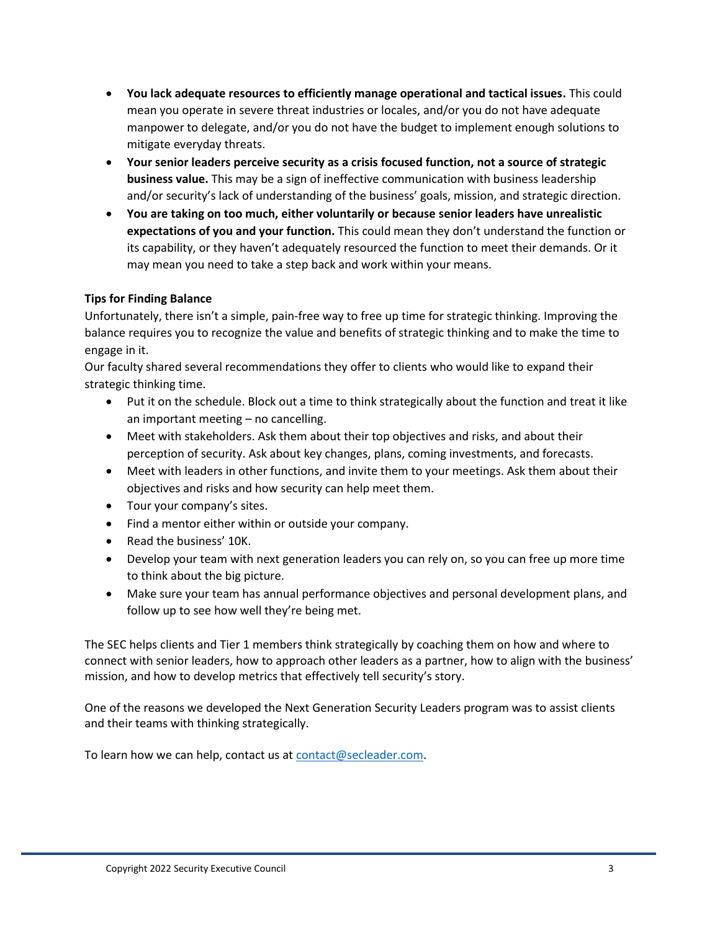- **You lack adequate resources to efficiently manage operational and tactical issues.** This could mean you operate in severe threat industries or locales, and/or you do not have adequate manpower to delegate, and/or you do not have the budget to implement enough solutions to mitigate everyday threats.
- **Your senior leaders perceive security as a crisis focused function, not a source of strategic business value.** This may be a sign of ineffective communication with business leadership and/or security's lack of understanding of the business' goals, mission, and strategic direction.
- **You are taking on too much, either voluntarily or because senior leaders have unrealistic expectations of you and your function.** This could mean they don't understand the function or its capability, or they haven't adequately resourced the function to meet their demands. Or it may mean you need to take a step back and work within your means.

#### **Tips for Finding Balance**

Unfortunately, there isn't a simple, pain-free way to free up time for strategic thinking. Improving the balance requires you to recognize the value and benefits of strategic thinking and to make the time to engage in it.

Our faculty shared several recommendations they offer to clients who would like to expand their strategic thinking time.

- Put it on the schedule. Block out a time to think strategically about the function and treat it like an important meeting – no cancelling.
- Meet with stakeholders. Ask them about their top objectives and risks, and about their perception of security. Ask about key changes, plans, coming investments, and forecasts.
- Meet with leaders in other functions, and invite them to your meetings. Ask them about their objectives and risks and how security can help meet them.
- Tour your company's sites.
- Find a mentor either within or outside your company.
- Read the business' 10K.
- Develop your team with next generation leaders you can rely on, so you can free up more time to think about the big picture.
- Make sure your team has annual performance objectives and personal development plans, and follow up to see how well they're being met.

The SEC helps clients and Tier 1 members think strategically by coaching them on how and where to connect with senior leaders, how to approach other leaders as a partner, how to align with the business' mission, and how to develop metrics that effectively tell security's story.

One of the reasons we developed the Next Generation Security Leaders program was to assist clients and their teams with thinking strategically.

To learn how we can help, contact us at [contact@secleader.com.](mailto:contact@secleader.com)